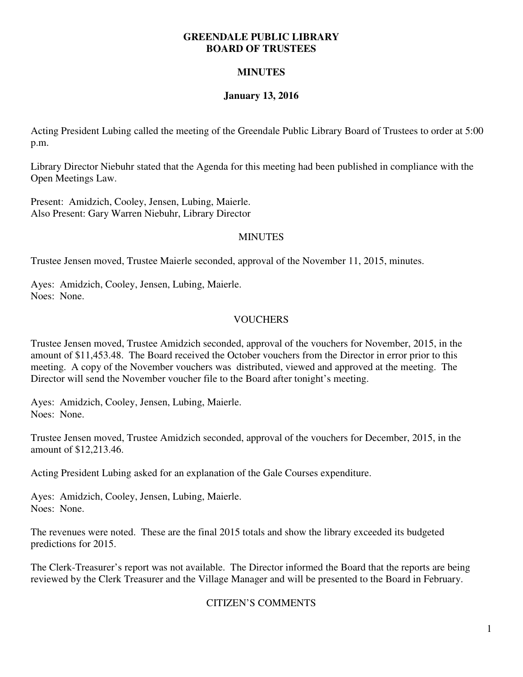#### **GREENDALE PUBLIC LIBRARY BOARD OF TRUSTEES**

## **MINUTES**

## **January 13, 2016**

Acting President Lubing called the meeting of the Greendale Public Library Board of Trustees to order at 5:00 p.m.

Library Director Niebuhr stated that the Agenda for this meeting had been published in compliance with the Open Meetings Law.

Present: Amidzich, Cooley, Jensen, Lubing, Maierle. Also Present: Gary Warren Niebuhr, Library Director

### **MINUTES**

Trustee Jensen moved, Trustee Maierle seconded, approval of the November 11, 2015, minutes.

Ayes: Amidzich, Cooley, Jensen, Lubing, Maierle. Noes: None.

## VOUCHERS

Trustee Jensen moved, Trustee Amidzich seconded, approval of the vouchers for November, 2015, in the amount of \$11,453.48. The Board received the October vouchers from the Director in error prior to this meeting. A copy of the November vouchers was distributed, viewed and approved at the meeting. The Director will send the November voucher file to the Board after tonight's meeting.

Ayes: Amidzich, Cooley, Jensen, Lubing, Maierle. Noes: None.

Trustee Jensen moved, Trustee Amidzich seconded, approval of the vouchers for December, 2015, in the amount of \$12,213.46.

Acting President Lubing asked for an explanation of the Gale Courses expenditure.

Ayes: Amidzich, Cooley, Jensen, Lubing, Maierle. Noes: None.

The revenues were noted. These are the final 2015 totals and show the library exceeded its budgeted predictions for 2015.

The Clerk-Treasurer's report was not available. The Director informed the Board that the reports are being reviewed by the Clerk Treasurer and the Village Manager and will be presented to the Board in February.

## CITIZEN'S COMMENTS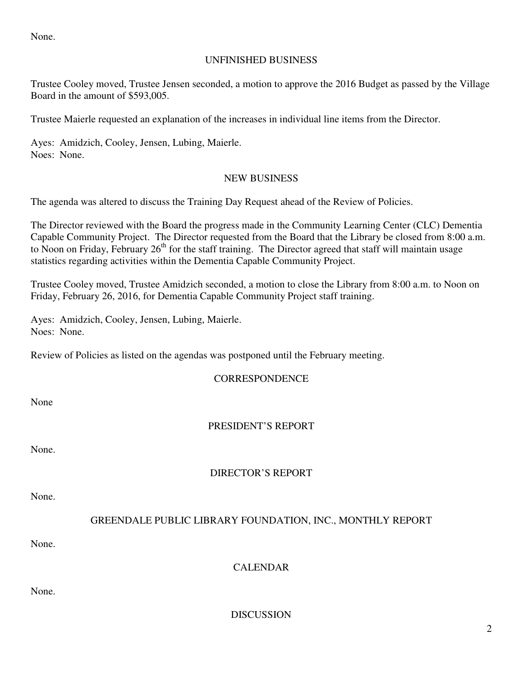None.

### UNFINISHED BUSINESS

Trustee Cooley moved, Trustee Jensen seconded, a motion to approve the 2016 Budget as passed by the Village Board in the amount of \$593,005.

Trustee Maierle requested an explanation of the increases in individual line items from the Director.

Ayes: Amidzich, Cooley, Jensen, Lubing, Maierle. Noes: None.

### NEW BUSINESS

The agenda was altered to discuss the Training Day Request ahead of the Review of Policies.

The Director reviewed with the Board the progress made in the Community Learning Center (CLC) Dementia Capable Community Project. The Director requested from the Board that the Library be closed from 8:00 a.m. to Noon on Friday, February 26<sup>th</sup> for the staff training. The Director agreed that staff will maintain usage statistics regarding activities within the Dementia Capable Community Project.

Trustee Cooley moved, Trustee Amidzich seconded, a motion to close the Library from 8:00 a.m. to Noon on Friday, February 26, 2016, for Dementia Capable Community Project staff training.

Ayes: Amidzich, Cooley, Jensen, Lubing, Maierle. Noes: None.

Review of Policies as listed on the agendas was postponed until the February meeting.

**CORRESPONDENCE** 

None

# PRESIDENT'S REPORT

None.

# DIRECTOR'S REPORT

None.

# GREENDALE PUBLIC LIBRARY FOUNDATION, INC., MONTHLY REPORT

None.

CALENDAR

None.

DISCUSSION